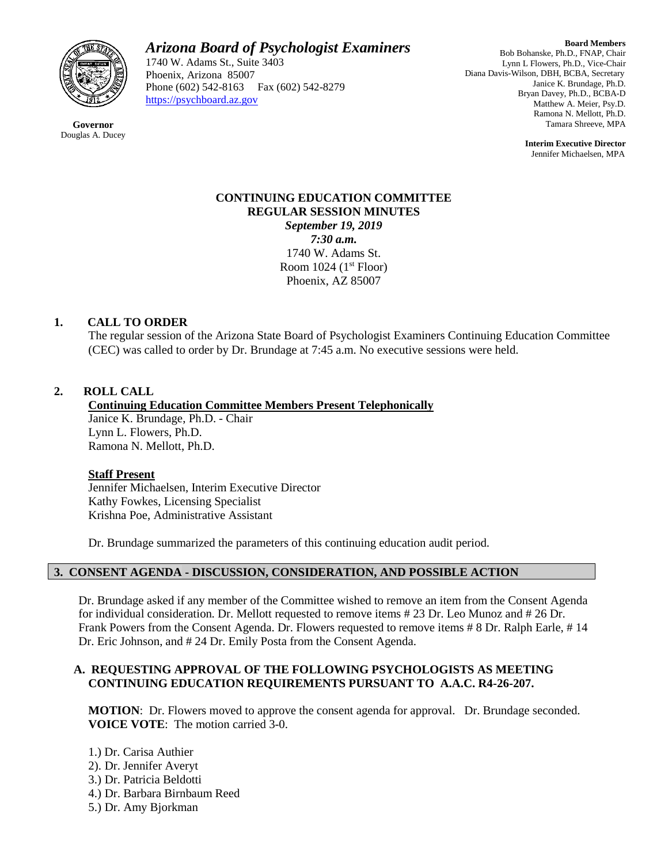

**Governor** Douglas A. Ducey

# *Arizona Board of Psychologist Examiners*

1740 W. Adams St., Suite 3403 Phoenix, Arizona 85007 Phone (602) 542-8163 Fax (602) 542-8279 [https://psychboard.az.gov](https://psychboard.az.gov/) 

**Board Members** Bob Bohanske, Ph.D., FNAP, Chair Lynn L Flowers, Ph.D., Vice-Chair Diana Davis-Wilson, DBH, BCBA, Secretary Janice K. Brundage, Ph.D. Bryan Davey, Ph.D., BCBA-D Matthew A. Meier, Psy.D. Ramona N. Mellott, Ph.D. Tamara Shreeve, MPA

> **Interim Executive Director** Jennifer Michaelsen, MPA

# **CONTINUING EDUCATION COMMITTEE REGULAR SESSION MINUTES** *September 19, 2019 7:30 a.m.* 1740 W. Adams St. Room  $1024$  ( $1<sup>st</sup>$  Floor) Phoenix, AZ 85007

# **1. CALL TO ORDER**

The regular session of the Arizona State Board of Psychologist Examiners Continuing Education Committee (CEC) was called to order by Dr. Brundage at 7:45 a.m. No executive sessions were held.

# **2. ROLL CALL**

**Continuing Education Committee Members Present Telephonically** Janice K. Brundage, Ph.D. - Chair Lynn L. Flowers, Ph.D. Ramona N. Mellott, Ph.D.

#### **Staff Present**

Jennifer Michaelsen, Interim Executive Director Kathy Fowkes, Licensing Specialist Krishna Poe, Administrative Assistant

Dr. Brundage summarized the parameters of this continuing education audit period.

# **3. CONSENT AGENDA - DISCUSSION, CONSIDERATION, AND POSSIBLE ACTION**

Dr. Brundage asked if any member of the Committee wished to remove an item from the Consent Agenda for individual consideration. Dr. Mellott requested to remove items # 23 Dr. Leo Munoz and # 26 Dr. Frank Powers from the Consent Agenda. Dr. Flowers requested to remove items # 8 Dr. Ralph Earle, # 14 Dr. Eric Johnson, and # 24 Dr. Emily Posta from the Consent Agenda.

# **A. REQUESTING APPROVAL OF THE FOLLOWING PSYCHOLOGISTS AS MEETING CONTINUING EDUCATION REQUIREMENTS PURSUANT TO A.A.C. R4-26-207.**

**MOTION**: Dr. Flowers moved to approve the consent agenda for approval. Dr. Brundage seconded. **VOICE VOTE**: The motion carried 3-0.

- 1.) Dr. Carisa Authier
- 2). Dr. Jennifer Averyt
- 3.) Dr. Patricia Beldotti
- 4.) Dr. Barbara Birnbaum Reed
- 5.) Dr. Amy Bjorkman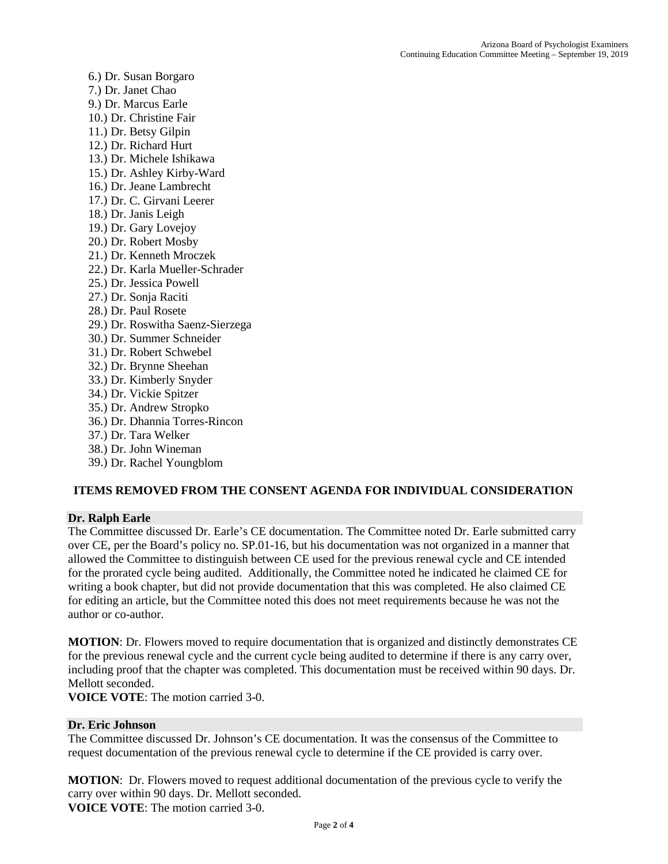- 6.) Dr. Susan Borgaro
- 7.) Dr. Janet Chao
- 9.) Dr. Marcus Earle
- 10.) Dr. Christine Fair
- 11.) Dr. Betsy Gilpin
- 12.) Dr. Richard Hurt
- 13.) Dr. Michele Ishikawa
- 15.) Dr. Ashley Kirby-Ward
- 16.) Dr. Jeane Lambrecht
- 17.) Dr. C. Girvani Leerer
- 18.) Dr. Janis Leigh
- 19.) Dr. Gary Lovejoy
- 20.) Dr. Robert Mosby
- 21.) Dr. Kenneth Mroczek
- 22.) Dr. Karla Mueller-Schrader
- 25.) Dr. Jessica Powell
- 27.) Dr. Sonja Raciti
- 28.) Dr. Paul Rosete
- 29.) Dr. Roswitha Saenz-Sierzega
- 30.) Dr. Summer Schneider
- 31.) Dr. Robert Schwebel
- 32.) Dr. Brynne Sheehan
- 33.) Dr. Kimberly Snyder
- 34.) Dr. Vickie Spitzer
- 35.) Dr. Andrew Stropko
- 36.) Dr. Dhannia Torres-Rincon
- 37.) Dr. Tara Welker
- 38.) Dr. John Wineman
- 39.) Dr. Rachel Youngblom

#### **ITEMS REMOVED FROM THE CONSENT AGENDA FOR INDIVIDUAL CONSIDERATION**

#### **Dr. Ralph Earle**

The Committee discussed Dr. Earle's CE documentation. The Committee noted Dr. Earle submitted carry over CE, per the Board's policy no. SP.01-16, but his documentation was not organized in a manner that allowed the Committee to distinguish between CE used for the previous renewal cycle and CE intended for the prorated cycle being audited. Additionally, the Committee noted he indicated he claimed CE for writing a book chapter, but did not provide documentation that this was completed. He also claimed CE for editing an article, but the Committee noted this does not meet requirements because he was not the author or co-author.

**MOTION**: Dr. Flowers moved to require documentation that is organized and distinctly demonstrates CE for the previous renewal cycle and the current cycle being audited to determine if there is any carry over, including proof that the chapter was completed. This documentation must be received within 90 days. Dr. Mellott seconded.

**VOICE VOTE**: The motion carried 3-0.

#### **Dr. Eric Johnson**

The Committee discussed Dr. Johnson's CE documentation. It was the consensus of the Committee to request documentation of the previous renewal cycle to determine if the CE provided is carry over.

**MOTION**: Dr. Flowers moved to request additional documentation of the previous cycle to verify the carry over within 90 days. Dr. Mellott seconded. **VOICE VOTE**: The motion carried 3-0.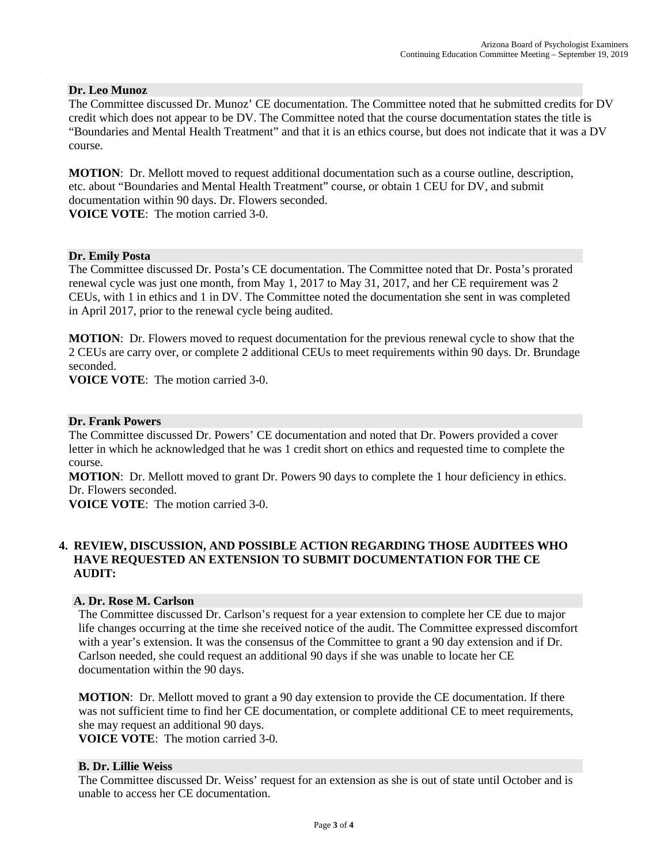#### **Dr. Leo Munoz**

The Committee discussed Dr. Munoz' CE documentation. The Committee noted that he submitted credits for DV credit which does not appear to be DV. The Committee noted that the course documentation states the title is "Boundaries and Mental Health Treatment" and that it is an ethics course, but does not indicate that it was a DV course.

**MOTION**: Dr. Mellott moved to request additional documentation such as a course outline, description, etc. about "Boundaries and Mental Health Treatment" course, or obtain 1 CEU for DV, and submit documentation within 90 days. Dr. Flowers seconded. **VOICE VOTE**: The motion carried 3-0.

#### **Dr. Emily Posta**

The Committee discussed Dr. Posta's CE documentation. The Committee noted that Dr. Posta's prorated renewal cycle was just one month, from May 1, 2017 to May 31, 2017, and her CE requirement was 2 CEUs, with 1 in ethics and 1 in DV. The Committee noted the documentation she sent in was completed in April 2017, prior to the renewal cycle being audited.

**MOTION**: Dr. Flowers moved to request documentation for the previous renewal cycle to show that the 2 CEUs are carry over, or complete 2 additional CEUs to meet requirements within 90 days. Dr. Brundage seconded.

**VOICE VOTE**: The motion carried 3-0.

#### **Dr. Frank Powers**

The Committee discussed Dr. Powers' CE documentation and noted that Dr. Powers provided a cover letter in which he acknowledged that he was 1 credit short on ethics and requested time to complete the course.

**MOTION:** Dr. Mellott moved to grant Dr. Powers 90 days to complete the 1 hour deficiency in ethics. Dr. Flowers seconded.

**VOICE VOTE**: The motion carried 3-0.

### **4. REVIEW, DISCUSSION, AND POSSIBLE ACTION REGARDING THOSE AUDITEES WHO HAVE REQUESTED AN EXTENSION TO SUBMIT DOCUMENTATION FOR THE CE AUDIT:**

#### **A. Dr. Rose M. Carlson**

The Committee discussed Dr. Carlson's request for a year extension to complete her CE due to major life changes occurring at the time she received notice of the audit. The Committee expressed discomfort with a year's extension. It was the consensus of the Committee to grant a 90 day extension and if Dr. Carlson needed, she could request an additional 90 days if she was unable to locate her CE documentation within the 90 days.

**MOTION**: Dr. Mellott moved to grant a 90 day extension to provide the CE documentation. If there was not sufficient time to find her CE documentation, or complete additional CE to meet requirements, she may request an additional 90 days.

**VOICE VOTE**: The motion carried 3-0.

#### **B. Dr. Lillie Weiss**

The Committee discussed Dr. Weiss' request for an extension as she is out of state until October and is unable to access her CE documentation.